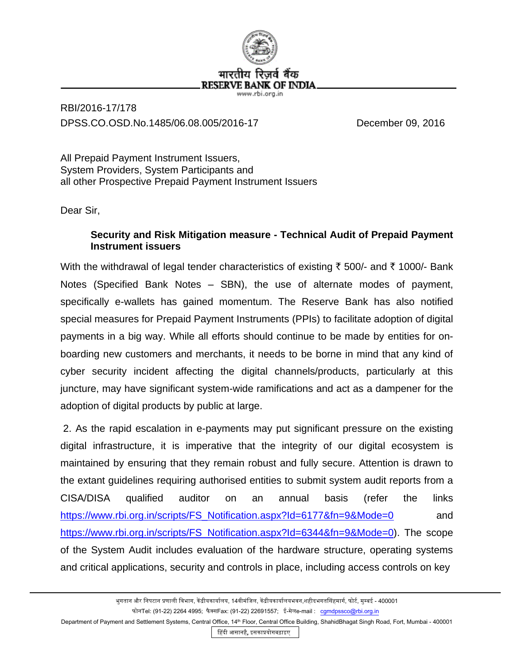

## RBI/2016-17/178 DPSS.CO.OSD.No.1485/06.08.005/2016-17 December 09, 2016

All Prepaid Payment Instrument Issuers, System Providers, System Participants and all other Prospective Prepaid Payment Instrument Issuers

Dear Sir,

## **Security and Risk Mitigation measure - Technical Audit of Prepaid Payment Instrument issuers**

With the withdrawal of legal tender characteristics of existing  $\bar{\tau}$  500/- and  $\bar{\tau}$  1000/- Bank Notes (Specified Bank Notes – SBN), the use of alternate modes of payment, specifically e-wallets has gained momentum. The Reserve Bank has also notified special measures for Prepaid Payment Instruments (PPIs) to facilitate adoption of digital payments in a big way. While all efforts should continue to be made by entities for onboarding new customers and merchants, it needs to be borne in mind that any kind of cyber security incident affecting the digital channels/products, particularly at this juncture, may have significant system-wide ramifications and act as a dampener for the adoption of digital products by public at large.

2. As the rapid escalation in e-payments may put significant pressure on the existing digital infrastructure, it is imperative that the integrity of our digital ecosystem is maintained by ensuring that they remain robust and fully secure. Attention is drawn to the extant guidelines requiring authorised entities to submit system audit reports from a CISA/DISA qualified auditor on an annual basis (refer the links [https://www.rbi.org.in/scripts/FS\\_Notification.aspx?Id=6177&fn=9&Mode=0](https://www.rbi.org.in/scripts/FS_Notification.aspx?Id=6177&fn=9&Mode=0) and [https://www.rbi.org.in/scripts/FS\\_Notification.aspx?Id=6344&fn=9&Mode=0\)](https://www.rbi.org.in/scripts/FS_Notification.aspx?Id=6344&fn=9&Mode=0). The scope of the System Audit includes evaluation of the hardware structure, operating systems and critical applications, security and controls in place, including access controls on key

Department of Payment and Settlement Systems, Central Office, 14<sup>th</sup> Floor, Central Office Building, ShahidBhagat Singh Road, Fort, Mumbai - 400001

हिंदी आसानहै, इसकाप्रयोगबढ़ाइए

भुगतान और निपटान प्रणाली विभाग, केंद्रीयकार्यालय, 14वीमंजिल, केंद्रीयकार्यालयभवन,शहीदभगतसिंहमार्ग, फोर्ट, मुम्बई - 400001 फोनTel: (91-22) 2264 4995; फैक्सFax: (91-22) 22691557; ई-मेलe-mail : [cgmdpssco@rbi.org.in](mailto:cgmdpssco@rbi.org.in)